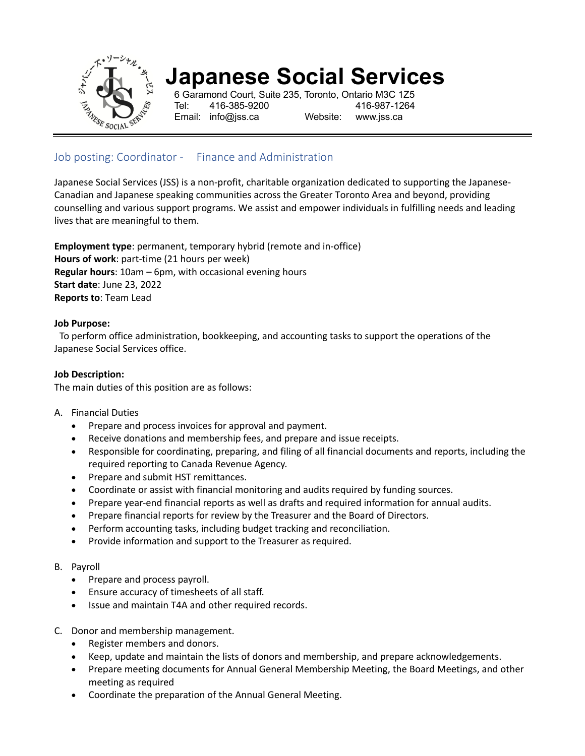

# **Japanese Social Services**

6 Garamond Court, Suite 235, Toronto, Ontario M3C 1Z5 Tel: 416-385-9200 416-987-1264 Email: info@jss.ca Website: www.jss.ca

Job posting: Coordinator - Finance and Administration

Japanese Social Services (JSS) is a non-profit, charitable organization dedicated to supporting the Japanese-Canadian and Japanese speaking communities across the Greater Toronto Area and beyond, providing counselling and various support programs. We assist and empower individuals in fulfilling needs and leading lives that are meaningful to them.

**Employment type**: permanent, temporary hybrid (remote and in-office) **Hours of work**: part-time (21 hours per week) **Regular hours**: 10am – 6pm, with occasional evening hours **Start date**: June 23, 2022 **Reports to**: Team Lead

# **Job Purpose:**

To perform office administration, bookkeeping, and accounting tasks to support the operations of the Japanese Social Services office.

#### **Job Description:**

The main duties of this position are as follows:

#### A. Financial Duties

- Prepare and process invoices for approval and payment.
- Receive donations and membership fees, and prepare and issue receipts.
- Responsible for coordinating, preparing, and filing of all financial documents and reports, including the required reporting to Canada Revenue Agency.
- Prepare and submit HST remittances.
- Coordinate or assist with financial monitoring and audits required by funding sources.
- Prepare year-end financial reports as well as drafts and required information for annual audits.
- Prepare financial reports for review by the Treasurer and the Board of Directors.
- Perform accounting tasks, including budget tracking and reconciliation.
- Provide information and support to the Treasurer as required.

#### B. Payroll

- Prepare and process payroll.
- Ensure accuracy of timesheets of all staff.
- Issue and maintain T4A and other required records.
- C. Donor and membership management.
	- Register members and donors.
	- Keep, update and maintain the lists of donors and membership, and prepare acknowledgements.
	- Prepare meeting documents for Annual General Membership Meeting, the Board Meetings, and other meeting as required
	- Coordinate the preparation of the Annual General Meeting.